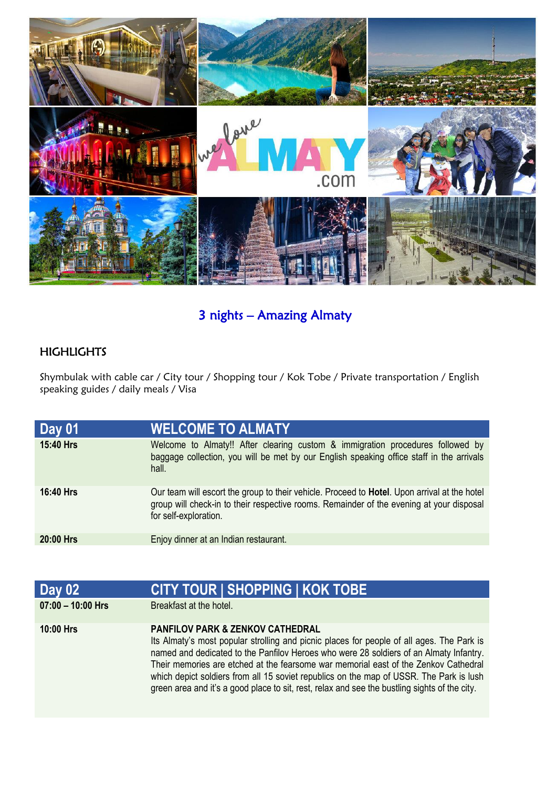

# 3 nights – Amazing Almaty

## HIGHLIGHTS

Shymbulak with cable car / City tour / Shopping tour / Kok Tobe / Private transportation / English speaking guides / daily meals / Visa

| <b>Day 01</b>    | <b>WELCOME TO ALMATY</b>                                                                                                                                                                                                  |
|------------------|---------------------------------------------------------------------------------------------------------------------------------------------------------------------------------------------------------------------------|
| 15:40 Hrs        | Welcome to Almaty!! After clearing custom & immigration procedures followed by<br>baggage collection, you will be met by our English speaking office staff in the arrivals<br>hall.                                       |
| <b>16:40 Hrs</b> | Our team will escort the group to their vehicle. Proceed to <b>Hotel</b> . Upon arrival at the hotel<br>group will check-in to their respective rooms. Remainder of the evening at your disposal<br>for self-exploration. |
| 20:00 Hrs        | Enjoy dinner at an Indian restaurant.                                                                                                                                                                                     |

| Day 02              | <b>CITY TOUR   SHOPPING   KOK TOBE</b>                                                                                                                                                                                                                                                                                                                                                                                                                                                                                |
|---------------------|-----------------------------------------------------------------------------------------------------------------------------------------------------------------------------------------------------------------------------------------------------------------------------------------------------------------------------------------------------------------------------------------------------------------------------------------------------------------------------------------------------------------------|
| $07:00 - 10:00$ Hrs | Breakfast at the hotel.                                                                                                                                                                                                                                                                                                                                                                                                                                                                                               |
| <b>10:00 Hrs</b>    | <b>PANFILOV PARK &amp; ZENKOV CATHEDRAL</b><br>Its Almaty's most popular strolling and picnic places for people of all ages. The Park is<br>named and dedicated to the Panfilov Heroes who were 28 soldiers of an Almaty Infantry.<br>Their memories are etched at the fearsome war memorial east of the Zenkov Cathedral<br>which depict soldiers from all 15 soviet republics on the map of USSR. The Park is lush<br>green area and it's a good place to sit, rest, relax and see the bustling sights of the city. |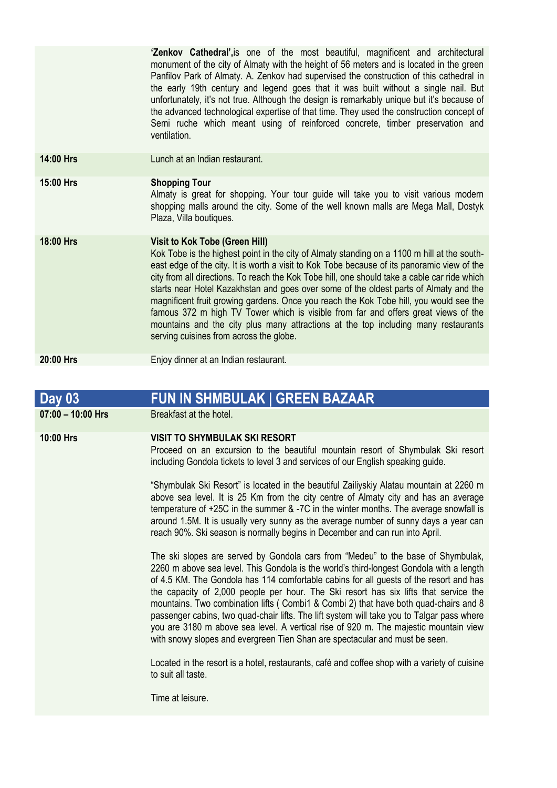**'Zenkov Cathedral',**is one of the most beautiful, magnificent and architectural monument of the city of Almaty with the height of 56 meters and is located in the green Panfilov Park of Almaty. A. Zenkov had supervised the construction of this cathedral in the early 19th century and legend goes that it was built without a single nail. But unfortunately, it's not true. Although the design is remarkably unique but it's because of the advanced technological expertise of that time. They used the construction concept of Semi ruche which meant using of reinforced concrete, timber preservation and ventilation.

**14:00 Hrs** Lunch at an Indian restaurant.

#### **15:00 Hrs Shopping Tour**

Almaty is great for shopping. Your tour guide will take you to visit various modern shopping malls around the city. Some of the well known malls are Mega Mall, Dostyk Plaza, Villa boutiques.

### **18:00 Hrs Visit to Kok Tobe (Green Hill)**

Kok Tobe is the highest point in the city of Almaty standing on a 1100 m hill at the southeast edge of the city. It is worth a visit to Kok Tobe because of its panoramic view of the city from all directions. To reach the Kok Tobe hill, one should take a cable car ride which starts near Hotel Kazakhstan and goes over some of the oldest parts of Almaty and the magnificent fruit growing gardens. Once you reach the Kok Tobe hill, you would see the famous 372 m high TV Tower which is visible from far and offers great views of the mountains and the city plus many attractions at the top including many restaurants serving cuisines from across the globe.

### **20:00 Hrs** Enjoy dinner at an Indian restaurant.

### **Day 03 FUN IN SHMBULAK | GREEN BAZAAR 07:00 – 10:00 Hrs** Breakfast at the hotel. **10:00 Hrs VISIT TO SHYMBULAK SKI RESORT**  Proceed on an excursion to the beautiful mountain resort of Shymbulak Ski resort including Gondola tickets to level 3 and services of our English speaking guide. "Shymbulak Ski Resort" is located in the beautiful Zailiyskiy Alatau mountain at 2260 m above sea level. It is 25 Km from the city centre of Almaty city and has an average temperature of +25C in the summer & -7C in the winter months. The average snowfall is around 1.5M. It is usually very sunny as the average number of sunny days a year can reach 90%. Ski season is normally begins in December and can run into April. The ski slopes are served by Gondola cars from "Medeu" to the base of Shymbulak, 2260 m above sea level. This Gondola is the world's third-longest Gondola with a length of 4.5 KM. The Gondola has 114 comfortable cabins for all guests of the resort and has the capacity of 2,000 people per hour. The Ski resort has six lifts that service the mountains. Two combination lifts ( Combi1 & Combi 2) that have both quad-chairs and 8 passenger cabins, two quad-chair lifts. The lift system will take you to Talgar pass where you are 3180 m above sea level. A vertical rise of 920 m. The majestic mountain view with snowy slopes and evergreen Tien Shan are spectacular and must be seen. Located in the resort is a hotel, restaurants, café and coffee shop with a variety of cuisine to suit all taste. Time at leisure.